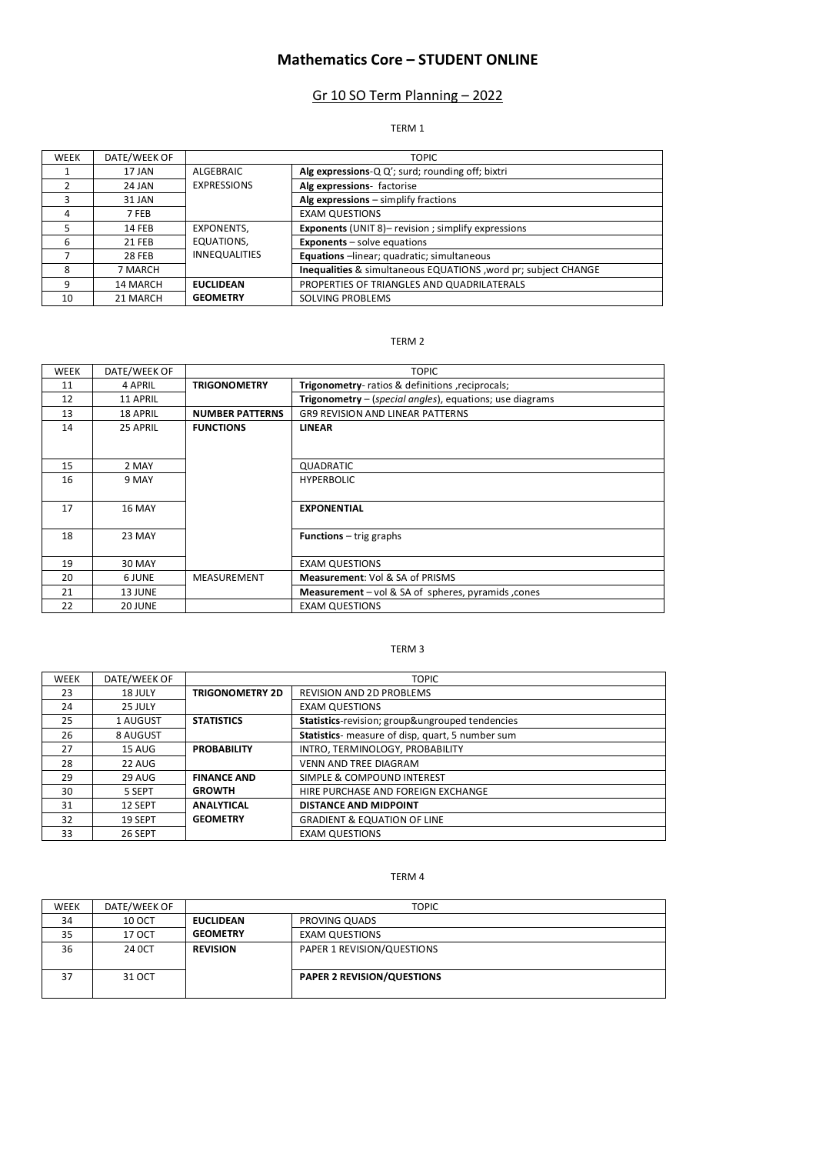# **Mathematics Core – STUDENT ONLINE**

# Gr 10 SO Term Planning – 2022

### TERM 1

| <b>WEEK</b> | DATE/WEEK OF  |                      | <b>TOPIC</b>                                                              |
|-------------|---------------|----------------------|---------------------------------------------------------------------------|
|             | 17 JAN        | ALGEBRAIC            | Alg expressions-Q Q'; surd; rounding off; bixtri                          |
|             | 24 JAN        | <b>EXPRESSIONS</b>   | Alg expressions- factorise                                                |
| 3           | 31 JAN        |                      | Alg expressions $-$ simplify fractions                                    |
| 4           | 7 FEB         |                      | <b>EXAM QUESTIONS</b>                                                     |
|             | 14 FEB        | EXPONENTS,           | <b>Exponents</b> (UNIT 8) – revision ; simplify expressions               |
| 6           | 21 FEB        | EQUATIONS,           | <b>Exponents</b> $-$ solve equations                                      |
|             | <b>28 FEB</b> | <b>INNEQUALITIES</b> | Equations -linear; quadratic; simultaneous                                |
| 8           | 7 MARCH       |                      | <b>Inequalities &amp; simultaneous EQUATIONS, word pr; subject CHANGE</b> |
| 9           | 14 MARCH      | <b>EUCLIDEAN</b>     | PROPERTIES OF TRIANGLES AND QUADRILATERALS                                |
| 10          | 21 MARCH      | <b>GEOMETRY</b>      | SOLVING PROBLEMS                                                          |

#### TERM 2

| WEEK | DATE/WEEK OF |                        | <b>TOPIC</b>                                             |
|------|--------------|------------------------|----------------------------------------------------------|
| 11   | 4 APRIL      | <b>TRIGONOMETRY</b>    | Trigonometry-ratios & definitions, reciprocals;          |
| 12   | 11 APRIL     |                        | Trigonometry - (special angles), equations; use diagrams |
| 13   | 18 APRIL     | <b>NUMBER PATTERNS</b> | <b>GR9 REVISION AND LINEAR PATTERNS</b>                  |
| 14   | 25 APRIL     | <b>FUNCTIONS</b>       | <b>LINEAR</b>                                            |
|      |              |                        |                                                          |
| 15   | 2 MAY        |                        | QUADRATIC                                                |
| 16   | 9 MAY        |                        | <b>HYPERBOLIC</b>                                        |
|      |              |                        |                                                          |
| 17   | 16 MAY       |                        | <b>EXPONENTIAL</b>                                       |
|      |              |                        |                                                          |
| 18   | 23 MAY       |                        | <b>Functions</b> $-$ trig graphs                         |
|      |              |                        |                                                          |
| 19   | 30 MAY       |                        | <b>EXAM QUESTIONS</b>                                    |
| 20   | 6 JUNE       | MEASUREMENT            | <b>Measurement: Vol &amp; SA of PRISMS</b>               |
| 21   | 13 JUNE      |                        | Measurement - vol & SA of spheres, pyramids, cones       |
| 22   | 20 JUNE      |                        | <b>EXAM QUESTIONS</b>                                    |

### TERM 3

| <b>WEEK</b> | DATE/WEEK OF | <b>TOPIC</b>           |                                                  |
|-------------|--------------|------------------------|--------------------------------------------------|
| 23          | 18 JULY      | <b>TRIGONOMETRY 2D</b> | <b>REVISION AND 2D PROBLEMS</b>                  |
| 24          | 25 JULY      |                        | <b>EXAM QUESTIONS</b>                            |
| 25          | 1 AUGUST     | <b>STATISTICS</b>      | Statistics-revision; group&ungrouped tendencies  |
| 26          | 8 AUGUST     |                        | Statistics- measure of disp, quart, 5 number sum |
| 27          | 15 AUG       | <b>PROBABILITY</b>     | INTRO, TERMINOLOGY, PROBABILITY                  |
| 28          | 22 AUG       |                        | <b>VENN AND TREE DIAGRAM</b>                     |
| 29          | 29 AUG       | <b>FINANCE AND</b>     | SIMPLE & COMPOUND INTEREST                       |
| 30          | 5 SEPT       | <b>GROWTH</b>          | HIRE PURCHASE AND FOREIGN EXCHANGE               |
| 31          | 12 SEPT      | <b>ANALYTICAL</b>      | <b>DISTANCE AND MIDPOINT</b>                     |
| 32          | 19 SEPT      | <b>GEOMETRY</b>        | <b>GRADIENT &amp; EQUATION OF LINE</b>           |
| 33          | 26 SEPT      |                        | <b>EXAM QUESTIONS</b>                            |

#### TERM 4

| <b>WEEK</b> | DATE/WEEK OF  |                  | <b>TOPIC</b>                      |  |
|-------------|---------------|------------------|-----------------------------------|--|
| 34          | <b>10 OCT</b> | <b>EUCLIDEAN</b> | PROVING QUADS                     |  |
| 35          | 17 OCT        | <b>GEOMETRY</b>  | <b>EXAM QUESTIONS</b>             |  |
| 36          | 24 OCT        | <b>REVISION</b>  | PAPER 1 REVISION/QUESTIONS        |  |
| 37          | 31 OCT        |                  | <b>PAPER 2 REVISION/QUESTIONS</b> |  |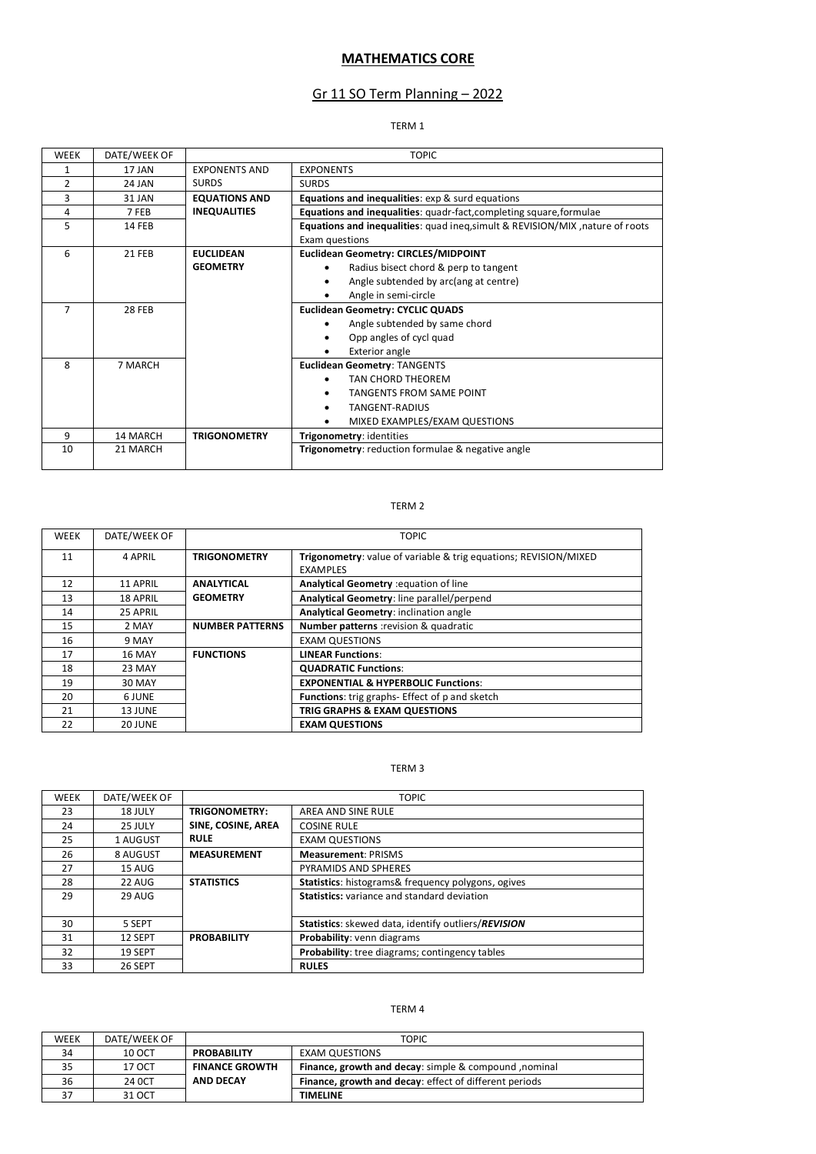# **MATHEMATICS CORE**

# Gr 11 SO Term Planning – 2022

### TERM 1

| <b>WEEK</b>    | DATE/WEEK OF  |                      | <b>TOPIC</b>                                                                                    |
|----------------|---------------|----------------------|-------------------------------------------------------------------------------------------------|
| 1              | 17 JAN        | <b>EXPONENTS AND</b> | <b>EXPONENTS</b>                                                                                |
| $\overline{2}$ | 24 JAN        | <b>SURDS</b>         | <b>SURDS</b>                                                                                    |
| 3              | 31 JAN        | <b>EQUATIONS AND</b> | <b>Equations and inequalities:</b> exp & surd equations                                         |
| 4              | 7 FEB         | <b>INEQUALITIES</b>  | Equations and inequalities: quadr-fact, completing square, formulae                             |
| 5              | 14 FEB        |                      | Equations and inequalities: quad ineq, simult & REVISION/MIX, nature of roots<br>Exam questions |
| 6              | <b>21 FEB</b> | <b>EUCLIDEAN</b>     | <b>Euclidean Geometry: CIRCLES/MIDPOINT</b>                                                     |
|                |               | <b>GEOMETRY</b>      | Radius bisect chord & perp to tangent                                                           |
|                |               |                      | Angle subtended by arc(ang at centre)<br>٠                                                      |
|                |               |                      | Angle in semi-circle                                                                            |
| 7              | <b>28 FEB</b> |                      | <b>Euclidean Geometry: CYCLIC QUADS</b>                                                         |
|                |               |                      | Angle subtended by same chord                                                                   |
|                |               |                      | Opp angles of cycl quad                                                                         |
|                |               |                      | <b>Exterior angle</b>                                                                           |
| 8              | 7 MARCH       |                      | <b>Euclidean Geometry: TANGENTS</b>                                                             |
|                |               |                      | <b>TAN CHORD THEOREM</b>                                                                        |
|                |               |                      | <b>TANGENTS FROM SAME POINT</b>                                                                 |
|                |               |                      | TANGENT-RADIUS                                                                                  |
|                |               |                      | MIXED EXAMPLES/EXAM QUESTIONS                                                                   |
| 9              | 14 MARCH      | <b>TRIGONOMETRY</b>  | Trigonometry: identities                                                                        |
| 10             | 21 MARCH      |                      | Trigonometry: reduction formulae & negative angle                                               |

### TERM 2

| <b>WEEK</b> | DATE/WEEK OF  | <b>TOPIC</b>           |                                                                  |
|-------------|---------------|------------------------|------------------------------------------------------------------|
| 11          | 4 APRIL       | <b>TRIGONOMETRY</b>    | Trigonometry: value of variable & trig equations; REVISION/MIXED |
|             |               |                        | <b>EXAMPLES</b>                                                  |
| 12          | 11 APRIL      | <b>ANALYTICAL</b>      | Analytical Geometry : equation of line                           |
| 13          | 18 APRIL      | <b>GEOMETRY</b>        | Analytical Geometry: line parallel/perpend                       |
| 14          | 25 APRIL      |                        | Analytical Geometry: inclination angle                           |
| 15          | 2 MAY         | <b>NUMBER PATTERNS</b> | <b>Number patterns</b> : revision & quadratic                    |
| 16          | 9 MAY         |                        | <b>EXAM QUESTIONS</b>                                            |
| 17          | <b>16 MAY</b> | <b>FUNCTIONS</b>       | <b>LINEAR Functions:</b>                                         |
| 18          | 23 MAY        |                        | <b>QUADRATIC Functions:</b>                                      |
| 19          | 30 MAY        |                        | <b>EXPONENTIAL &amp; HYPERBOLIC Functions:</b>                   |
| 20          | 6 JUNE        |                        | Functions: trig graphs- Effect of p and sketch                   |
| 21          | 13 JUNE       |                        | TRIG GRAPHS & EXAM QUESTIONS                                     |
| 22          | 20 JUNE       |                        | <b>EXAM QUESTIONS</b>                                            |

#### TERM 3

| <b>WEEK</b> | DATE/WEEK OF |                    | <b>TOPIC</b>                                        |
|-------------|--------------|--------------------|-----------------------------------------------------|
| 23          | 18 JULY      | TRIGONOMETRY:      | AREA AND SINE RULE                                  |
| 24          | 25 JULY      | SINE, COSINE, AREA | <b>COSINE RULE</b>                                  |
| 25          | 1 AUGUST     | <b>RULE</b>        | <b>EXAM QUESTIONS</b>                               |
| 26          | 8 AUGUST     | <b>MEASUREMENT</b> | <b>Measurement: PRISMS</b>                          |
| 27          | 15 AUG       |                    | PYRAMIDS AND SPHERES                                |
| 28          | 22 AUG       | <b>STATISTICS</b>  | Statistics: histograms& frequency polygons, ogives  |
| 29          | 29 AUG       |                    | <b>Statistics:</b> variance and standard deviation  |
|             |              |                    |                                                     |
| 30          | 5 SEPT       |                    | Statistics: skewed data, identify outliers/REVISION |
| 31          | 12 SEPT      | <b>PROBABILITY</b> | Probability: venn diagrams                          |
| 32          | 19 SEPT      |                    | Probability: tree diagrams; contingency tables      |
| 33          | 26 SEPT      |                    | <b>RULES</b>                                        |

#### TERM 4

| <b>WEEK</b> | DATE/WEEK OF |                       | <b>TOPIC</b>                                           |
|-------------|--------------|-----------------------|--------------------------------------------------------|
| 34          | 10 OCT       | <b>PROBABILITY</b>    | <b>EXAM QUESTIONS</b>                                  |
| 35          | 17 OCT       | <b>FINANCE GROWTH</b> | Finance, growth and decay: simple & compound, nominal  |
| 36          | 24 OCT       | AND DECAY             | Finance, growth and decay: effect of different periods |
|             | 31 OCT       |                       | <b>TIMELINE</b>                                        |